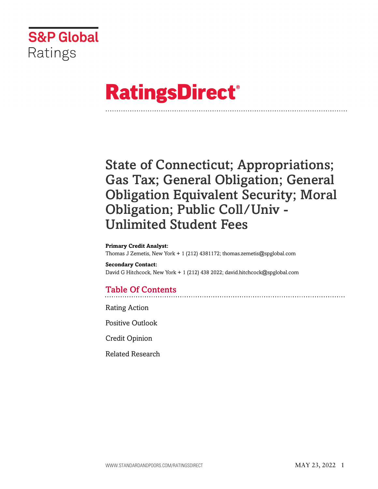

# **RatingsDirect®**

# State of Connecticut; Appropriations; Gas Tax; General Obligation; General Obligation Equivalent Security; Moral Obligation; Public Coll/Univ - Unlimited Student Fees

#### **Primary Credit Analyst:**

Thomas J Zemetis, New York + 1 (212) 4381172; thomas.zemetis@spglobal.com

**Secondary Contact:** David G Hitchcock, New York + 1 (212) 438 2022; david.hitchcock@spglobal.com

# Table Of Contents

[Rating Action](#page-1-0)

[Positive Outlook](#page-4-0)

[Credit Opinion](#page-5-0)

[Related Research](#page-9-0)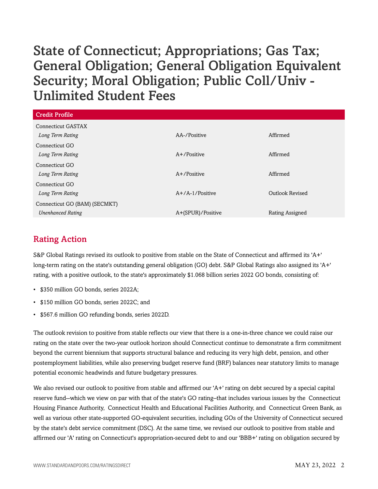| <b>Credit Profile</b>         |                    |                        |
|-------------------------------|--------------------|------------------------|
| <b>Connecticut GASTAX</b>     |                    |                        |
| Long Term Rating              | AA-/Positive       | Affirmed               |
| Connecticut GO                |                    |                        |
| Long Term Rating              | $A+$ /Positive     | Affirmed               |
| Connecticut GO                |                    |                        |
| Long Term Rating              | $A+$ /Positive     | Affirmed               |
| Connecticut GO                |                    |                        |
| Long Term Rating              | $A+/A-1$ /Positive | <b>Outlook Revised</b> |
| Connecticut GO (BAM) (SECMKT) |                    |                        |
| <b>Unenhanced Rating</b>      | A+(SPUR)/Positive  | Rating Assigned        |

# <span id="page-1-0"></span>Rating Action

S&P Global Ratings revised its outlook to positive from stable on the State of Connecticut and affirmed its 'A+' long-term rating on the state's outstanding general obligation (GO) debt. S&P Global Ratings also assigned its 'A+' rating, with a positive outlook, to the state's approximately \$1.068 billion series 2022 GO bonds, consisting of:

- \$350 million GO bonds, series 2022A;
- \$150 million GO bonds, series 2022C; and
- \$567.6 million GO refunding bonds, series 2022D.

The outlook revision to positive from stable reflects our view that there is a one-in-three chance we could raise our rating on the state over the two-year outlook horizon should Connecticut continue to demonstrate a firm commitment beyond the current biennium that supports structural balance and reducing its very high debt, pension, and other postemployment liabilities, while also preserving budget reserve fund (BRF) balances near statutory limits to manage potential economic headwinds and future budgetary pressures.

We also revised our outlook to positive from stable and affirmed our 'A+' rating on debt secured by a special capital reserve fund--which we view on par with that of the state's GO rating–that includes various issues by the Connecticut Housing Finance Authority, Connecticut Health and Educational Facilities Authority, and Connecticut Green Bank, as well as various other state-supported GO-equivalent securities, including GOs of the University of Connecticut secured by the state's debt service commitment (DSC). At the same time, we revised our outlook to positive from stable and affirmed our 'A' rating on Connecticut's appropriation-secured debt to and our 'BBB+' rating on obligation secured by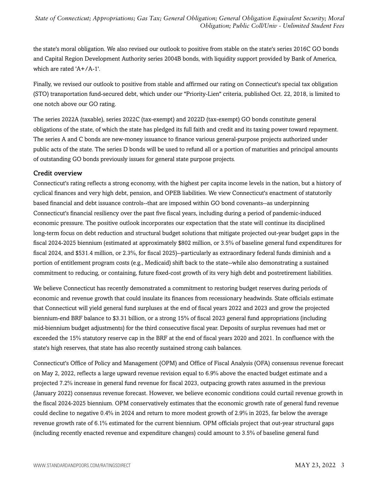the state's moral obligation. We also revised our outlook to positive from stable on the state's series 2016C GO bonds and Capital Region Development Authority series 2004B bonds, with liquidity support provided by Bank of America, which are rated 'A+/A-1'.

Finally, we revised our outlook to positive from stable and affirmed our rating on Connecticut's special tax obligation (STO) transportation fund-secured debt, which under our "Priority-Lien" criteria, published Oct. 22, 2018, is limited to one notch above our GO rating.

The series 2022A (taxable), series 2022C (tax-exempt) and 2022D (tax-exempt) GO bonds constitute general obligations of the state, of which the state has pledged its full faith and credit and its taxing power toward repayment. The series A and C bonds are new-money issuance to finance various general-purpose projects authorized under public acts of the state. The series D bonds will be used to refund all or a portion of maturities and principal amounts of outstanding GO bonds previously issues for general state purpose projects.

#### Credit overview

Connecticut's rating reflects a strong economy, with the highest per capita income levels in the nation, but a history of cyclical finances and very high debt, pension, and OPEB liabilities. We view Connecticut's enactment of statutorily based financial and debt issuance controls--that are imposed within GO bond covenants--as underpinning Connecticut's financial resiliency over the past five fiscal years, including during a period of pandemic-induced economic pressure. The positive outlook incorporates our expectation that the state will continue its disciplined long-term focus on debt reduction and structural budget solutions that mitigate projected out-year budget gaps in the fiscal 2024-2025 biennium (estimated at approximately \$802 million, or 3.5% of baseline general fund expenditures for fiscal 2024, and \$531.4 million, or 2.3%, for fiscal 2025)--particularly as extraordinary federal funds diminish and a portion of entitlement program costs (e.g., Medicaid) shift back to the state--while also demonstrating a sustained commitment to reducing, or containing, future fixed-cost growth of its very high debt and postretirement liabilities.

We believe Connecticut has recently demonstrated a commitment to restoring budget reserves during periods of economic and revenue growth that could insulate its finances from recessionary headwinds. State officials estimate that Connecticut will yield general fund surpluses at the end of fiscal years 2022 and 2023 and grow the projected biennium-end BRF balance to \$3.31 billion, or a strong 15% of fiscal 2023 general fund appropriations (including mid-biennium budget adjustments) for the third consecutive fiscal year. Deposits of surplus revenues had met or exceeded the 15% statutory reserve cap in the BRF at the end of fiscal years 2020 and 2021. In confluence with the state's high reserves, that state has also recently sustained strong cash balances.

Connecticut's Office of Policy and Management (OPM) and Office of Fiscal Analysis (OFA) consensus revenue forecast on May 2, 2022, reflects a large upward revenue revision equal to 6.9% above the enacted budget estimate and a projected 7.2% increase in general fund revenue for fiscal 2023, outpacing growth rates assumed in the previous (January 2022) consensus revenue forecast. However, we believe economic conditions could curtail revenue growth in the fiscal 2024-2025 biennium. OPM conservatively estimates that the economic growth rate of general fund revenue could decline to negative 0.4% in 2024 and return to more modest growth of 2.9% in 2025, far below the average revenue growth rate of 6.1% estimated for the current biennium. OPM officials project that out-year structural gaps (including recently enacted revenue and expenditure changes) could amount to 3.5% of baseline general fund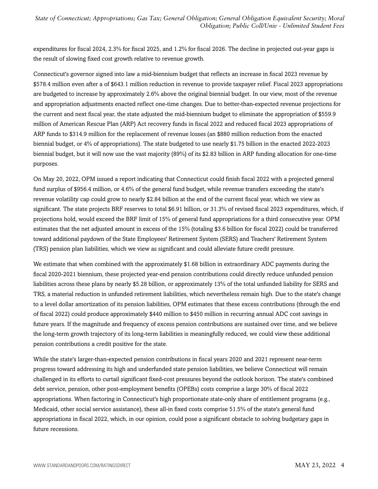expenditures for fiscal 2024, 2.3% for fiscal 2025, and 1.2% for fiscal 2026. The decline in projected out-year gaps is the result of slowing fixed cost growth relative to revenue growth.

Connecticut's governor signed into law a mid-biennium budget that reflects an increase in fiscal 2023 revenue by \$578.4 million even after a of \$643.1 million reduction in revenue to provide taxpayer relief. Fiscal 2023 appropriations are budgeted to increase by approximately 2.6% above the original biennial budget. In our view, most of the revenue and appropriation adjustments enacted reflect one-time changes. Due to better-than-expected revenue projections for the current and next fiscal year, the state adjusted the mid-biennium budget to eliminate the appropriation of \$559.9 million of American Rescue Plan (ARP) Act recovery funds in fiscal 2022 and reduced fiscal 2023 appropriations of ARP funds to \$314.9 million for the replacement of revenue losses (an \$880 million reduction from the enacted biennial budget, or 4% of appropriations). The state budgeted to use nearly \$1.75 billion in the enacted 2022-2023 biennial budget, but it will now use the vast majority (89%) of its \$2.83 billion in ARP funding allocation for one-time purposes.

On May 20, 2022, OPM issued a report indicating that Connecticut could finish fiscal 2022 with a projected general fund surplus of \$956.4 million, or 4.6% of the general fund budget, while revenue transfers exceeding the state's revenue volatility cap could grow to nearly \$2.84 billion at the end of the current fiscal year, which we view as significant. The state projects BRF reserves to total \$6.91 billion, or 31.3% of revised fiscal 2023 expenditures, which, if projections hold, would exceed the BRF limit of 15% of general fund appropriations for a third consecutive year. OPM estimates that the net adjusted amount in excess of the 15% (totaling \$3.6 billion for fiscal 2022) could be transferred toward additional paydown of the State Employees' Retirement System (SERS) and Teachers' Retirement System (TRS) pension plan liabilities, which we view as significant and could alleviate future credit pressure.

We estimate that when combined with the approximately \$1.68 billion in extraordinary ADC payments during the fiscal 2020-2021 biennium, these projected year-end pension contributions could directly reduce unfunded pension liabilities across these plans by nearly \$5.28 billion, or approximately 13% of the total unfunded liability for SERS and TRS, a material reduction in unfunded retirement liabilities, which nevertheless remain high. Due to the state's change to a level dollar amortization of its pension liabilities, OPM estimates that these excess contributions (through the end of fiscal 2022) could produce approximately \$440 million to \$450 million in recurring annual ADC cost savings in future years. If the magnitude and frequency of excess pension contributions are sustained over time, and we believe the long-term growth trajectory of its long-term liabilities is meaningfully reduced, we could view these additional pension contributions a credit positive for the state.

While the state's larger-than-expected pension contributions in fiscal years 2020 and 2021 represent near-term progress toward addressing its high and underfunded state pension liabilities, we believe Connecticut will remain challenged in its efforts to curtail significant fixed-cost pressures beyond the outlook horizon. The state's combined debt service, pension, other post-employment benefits (OPEBs) costs comprise a large 30% of fiscal 2022 appropriations. When factoring in Connecticut's high proportionate state-only share of entitlement programs (e.g., Medicaid, other social service assistance), these all-in fixed costs comprise 51.5% of the state's general fund appropriations in fiscal 2022, which, in our opinion, could pose a significant obstacle to solving budgetary gaps in future recessions.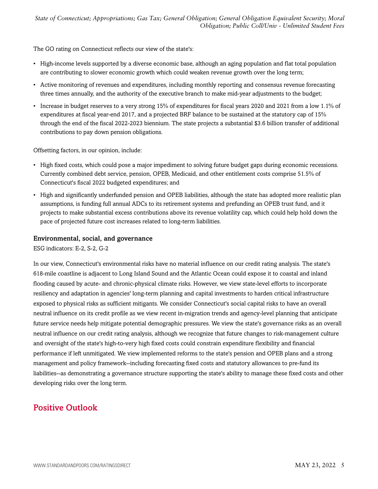The GO rating on Connecticut reflects our view of the state's:

- High-income levels supported by a diverse economic base, although an aging population and flat total population are contributing to slower economic growth which could weaken revenue growth over the long term;
- Active monitoring of revenues and expenditures, including monthly reporting and consensus revenue forecasting three times annually, and the authority of the executive branch to make mid-year adjustments to the budget;
- Increase in budget reserves to a very strong 15% of expenditures for fiscal years 2020 and 2021 from a low 1.1% of expenditures at fiscal year-end 2017, and a projected BRF balance to be sustained at the statutory cap of 15% through the end of the fiscal 2022-2023 biennium. The state projects a substantial \$3.6 billion transfer of additional contributions to pay down pension obligations.

Offsetting factors, in our opinion, include:

- High fixed costs, which could pose a major impediment to solving future budget gaps during economic recessions. Currently combined debt service, pension, OPEB, Medicaid, and other entitlement costs comprise 51.5% of Connecticut's fiscal 2022 budgeted expenditures; and
- High and significantly underfunded pension and OPEB liabilities, although the state has adopted more realistic plan assumptions, is funding full annual ADCs to its retirement systems and prefunding an OPEB trust fund, and it projects to make substantial excess contributions above its revenue volatility cap, which could help hold down the pace of projected future cost increases related to long-term liabilities.

#### Environmental, social, and governance

ESG indicators: E-2, S-2, G-2

In our view, Connecticut's environmental risks have no material influence on our credit rating analysis. The state's 618-mile coastline is adjacent to Long Island Sound and the Atlantic Ocean could expose it to coastal and inland flooding caused by acute- and chronic-physical climate risks. However, we view state-level efforts to incorporate resiliency and adaptation in agencies' long-term planning and capital investments to harden critical infrastructure exposed to physical risks as sufficient mitigants. We consider Connecticut's social capital risks to have an overall neutral influence on its credit profile as we view recent in-migration trends and agency-level planning that anticipate future service needs help mitigate potential demographic pressures. We view the state's governance risks as an overall neutral influence on our credit rating analysis, although we recognize that future changes to risk-management culture and oversight of the state's high-to-very high fixed costs could constrain expenditure flexibility and financial performance if left unmitigated. We view implemented reforms to the state's pension and OPEB plans and a strong management and policy framework--including forecasting fixed costs and statutory allowances to pre-fund its liabilities--as demonstrating a governance structure supporting the state's ability to manage these fixed costs and other developing risks over the long term.

## <span id="page-4-0"></span>Positive Outlook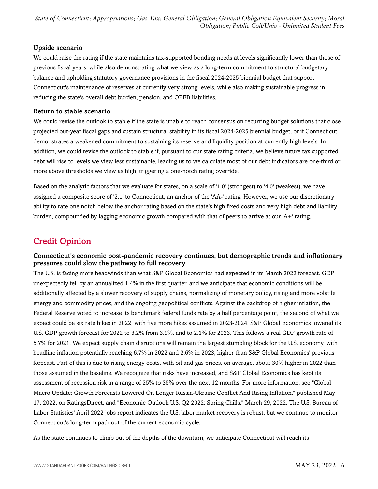#### Upside scenario

We could raise the rating if the state maintains tax-supported bonding needs at levels significantly lower than those of previous fiscal years, while also demonstrating what we view as a long-term commitment to structural budgetary balance and upholding statutory governance provisions in the fiscal 2024-2025 biennial budget that support Connecticut's maintenance of reserves at currently very strong levels, while also making sustainable progress in reducing the state's overall debt burden, pension, and OPEB liabilities.

#### Return to stable scenario

We could revise the outlook to stable if the state is unable to reach consensus on recurring budget solutions that close projected out-year fiscal gaps and sustain structural stability in its fiscal 2024-2025 biennial budget, or if Connecticut demonstrates a weakened commitment to sustaining its reserve and liquidity position at currently high levels. In addition, we could revise the outlook to stable if, pursuant to our state rating criteria, we believe future tax supported debt will rise to levels we view less sustainable, leading us to we calculate most of our debt indicators are one-third or more above thresholds we view as high, triggering a one-notch rating override.

Based on the analytic factors that we evaluate for states, on a scale of '1.0' (strongest) to '4.0' (weakest), we have assigned a composite score of '2.1' to Connecticut, an anchor of the 'AA-' rating. However, we use our discretionary ability to rate one notch below the anchor rating based on the state's high fixed costs and very high debt and liability burden, compounded by lagging economic growth compared with that of peers to arrive at our 'A+' rating.

### <span id="page-5-0"></span>Credit Opinion

#### Connecticut's economic post-pandemic recovery continues, but demographic trends and inflationary pressures could slow the pathway to full recovery

The U.S. is facing more headwinds than what S&P Global Economics had expected in its March 2022 forecast. GDP unexpectedly fell by an annualized 1.4% in the first quarter, and we anticipate that economic conditions will be additionally affected by a slower recovery of supply chains, normalizing of monetary policy, rising and more volatile energy and commodity prices, and the ongoing geopolitical conflicts. Against the backdrop of higher inflation, the Federal Reserve voted to increase its benchmark federal funds rate by a half percentage point, the second of what we expect could be six rate hikes in 2022, with five more hikes assumed in 2023-2024. S&P Global Economics lowered its U.S. GDP growth forecast for 2022 to 3.2% from 3.9%, and to 2.1% for 2023. This follows a real GDP growth rate of 5.7% for 2021. We expect supply chain disruptions will remain the largest stumbling block for the U.S. economy, with headline inflation potentially reaching 6.7% in 2022 and 2.6% in 2023, higher than S&P Global Economics' previous forecast. Part of this is due to rising energy costs, with oil and gas prices, on average, about 30% higher in 2022 than those assumed in the baseline. We recognize that risks have increased, and S&P Global Economics has kept its assessment of recession risk in a range of 25% to 35% over the next 12 months. For more information, see "Global Macro Update: Growth Forecasts Lowered On Longer Russia-Ukraine Conflict And Rising Inflation," published May 17, 2022, on RatingsDirect, and "Economic Outlook U.S. Q2 2022: Spring Chills," March 29, 2022. The U.S. Bureau of Labor Statistics' April 2022 jobs report indicates the U.S. labor market recovery is robust, but we continue to monitor Connecticut's long-term path out of the current economic cycle.

As the state continues to climb out of the depths of the downturn, we anticipate Connecticut will reach its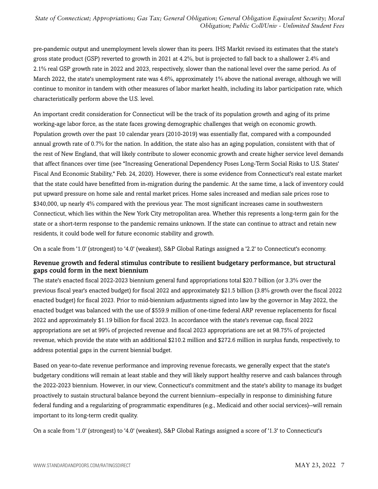pre-pandemic output and unemployment levels slower than its peers. IHS Markit revised its estimates that the state's gross state product (GSP) reverted to growth in 2021 at 4.2%, but is projected to fall back to a shallower 2.4% and 2.1% real GSP growth rate in 2022 and 2023, respectively, slower than the national level over the same period. As of March 2022, the state's unemployment rate was 4.6%, approximately 1% above the national average, although we will continue to monitor in tandem with other measures of labor market health, including its labor participation rate, which characteristically perform above the U.S. level.

An important credit consideration for Connecticut will be the track of its population growth and aging of its prime working-age labor force, as the state faces growing demographic challenges that weigh on economic growth. Population growth over the past 10 calendar years (2010-2019) was essentially flat, compared with a compounded annual growth rate of 0.7% for the nation. In addition, the state also has an aging population, consistent with that of the rest of New England, that will likely contribute to slower economic growth and create higher service level demands that affect finances over time (see "Increasing Generational Dependency Poses Long-Term Social Risks to U.S. States' Fiscal And Economic Stability," Feb. 24, 2020). However, there is some evidence from Connecticut's real estate market that the state could have benefitted from in-migration during the pandemic. At the same time, a lack of inventory could put upward pressure on home sale and rental market prices. Home sales increased and median sale prices rose to \$340,000, up nearly 4% compared with the previous year. The most significant increases came in southwestern Connecticut, which lies within the New York City metropolitan area. Whether this represents a long-term gain for the state or a short-term response to the pandemic remains unknown. If the state can continue to attract and retain new residents, it could bode well for future economic stability and growth.

On a scale from '1.0' (strongest) to '4.0' (weakest), S&P Global Ratings assigned a '2.2' to Connecticut's economy.

#### Revenue growth and federal stimulus contribute to resilient budgetary performance, but structural gaps could form in the next biennium

The state's enacted fiscal 2022-2023 biennium general fund appropriations total \$20.7 billion (or 3.3% over the previous fiscal year's enacted budget) for fiscal 2022 and approximately \$21.5 billion (3.8% growth over the fiscal 2022 enacted budget) for fiscal 2023. Prior to mid-biennium adjustments signed into law by the governor in May 2022, the enacted budget was balanced with the use of \$559.9 million of one-time federal ARP revenue replacements for fiscal 2022 and approximately \$1.19 billion for fiscal 2023. In accordance with the state's revenue cap, fiscal 2022 appropriations are set at 99% of projected revenue and fiscal 2023 appropriations are set at 98.75% of projected revenue, which provide the state with an additional \$210.2 million and \$272.6 million in surplus funds, respectively, to address potential gaps in the current biennial budget.

Based on year-to-date revenue performance and improving revenue forecasts, we generally expect that the state's budgetary conditions will remain at least stable and they will likely support healthy reserve and cash balances through the 2022-2023 biennium. However, in our view, Connecticut's commitment and the state's ability to manage its budget proactively to sustain structural balance beyond the current biennium--especially in response to diminishing future federal funding and a regularizing of programmatic expenditures (e.g., Medicaid and other social services)--will remain important to its long-term credit quality.

On a scale from '1.0' (strongest) to '4.0' (weakest), S&P Global Ratings assigned a score of '1.3' to Connecticut's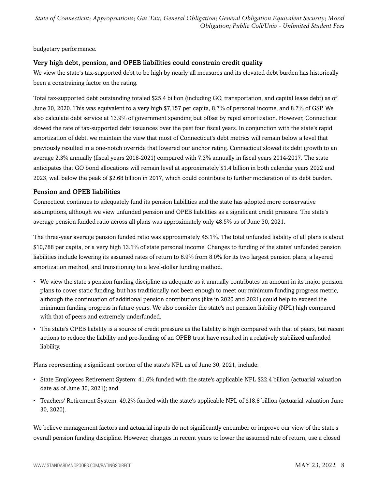budgetary performance.

#### Very high debt, pension, and OPEB liabilities could constrain credit quality

We view the state's tax-supported debt to be high by nearly all measures and its elevated debt burden has historically been a constraining factor on the rating.

Total tax-supported debt outstanding totaled \$25.4 billion (including GO, transportation, and capital lease debt) as of June 30, 2020. This was equivalent to a very high \$7,157 per capita, 8.7% of personal income, and 8.7% of GSP. We also calculate debt service at 13.9% of government spending but offset by rapid amortization. However, Connecticut slowed the rate of tax-supported debt issuances over the past four fiscal years. In conjunction with the state's rapid amortization of debt, we maintain the view that most of Connecticut's debt metrics will remain below a level that previously resulted in a one-notch override that lowered our anchor rating. Connecticut slowed its debt growth to an average 2.3% annually (fiscal years 2018-2021) compared with 7.3% annually in fiscal years 2014-2017. The state anticipates that GO bond allocations will remain level at approximately \$1.4 billion in both calendar years 2022 and 2023, well below the peak of \$2.68 billion in 2017, which could contribute to further moderation of its debt burden.

#### Pension and OPEB liabilities

Connecticut continues to adequately fund its pension liabilities and the state has adopted more conservative assumptions, although we view unfunded pension and OPEB liabilities as a significant credit pressure. The state's average pension funded ratio across all plans was approximately only 48.5% as of June 30, 2021.

The three-year average pension funded ratio was approximately 45.1%. The total unfunded liability of all plans is about \$10,788 per capita, or a very high 13.1% of state personal income. Changes to funding of the states' unfunded pension liabilities include lowering its assumed rates of return to 6.9% from 8.0% for its two largest pension plans, a layered amortization method, and transitioning to a level-dollar funding method.

- We view the state's pension funding discipline as adequate as it annually contributes an amount in its major pension plans to cover static funding, but has traditionally not been enough to meet our minimum funding progress metric, although the continuation of additional pension contributions (like in 2020 and 2021) could help to exceed the minimum funding progress in future years. We also consider the state's net pension liability (NPL) high compared with that of peers and extremely underfunded.
- The state's OPEB liability is a source of credit pressure as the liability is high compared with that of peers, but recent actions to reduce the liability and pre-funding of an OPEB trust have resulted in a relatively stabilized unfunded liability.

Plans representing a significant portion of the state's NPL as of June 30, 2021, include:

- State Employees Retirement System: 41.6% funded with the state's applicable NPL \$22.4 billion (actuarial valuation date as of June 30, 2021); and
- Teachers' Retirement System: 49.2% funded with the state's applicable NPL of \$18.8 billion (actuarial valuation June 30, 2020).

We believe management factors and actuarial inputs do not significantly encumber or improve our view of the state's overall pension funding discipline. However, changes in recent years to lower the assumed rate of return, use a closed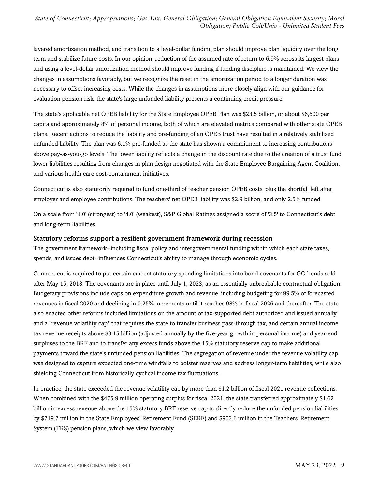layered amortization method, and transition to a level-dollar funding plan should improve plan liquidity over the long term and stabilize future costs. In our opinion, reduction of the assumed rate of return to 6.9% across its largest plans and using a level-dollar amortization method should improve funding if funding discipline is maintained. We view the changes in assumptions favorably, but we recognize the reset in the amortization period to a longer duration was necessary to offset increasing costs. While the changes in assumptions more closely align with our guidance for evaluation pension risk, the state's large unfunded liability presents a continuing credit pressure.

The state's applicable net OPEB liability for the State Employee OPEB Plan was \$23.5 billion, or about \$6,600 per capita and approximately 8% of personal income, both of which are elevated metrics compared with other state OPEB plans. Recent actions to reduce the liability and pre-funding of an OPEB trust have resulted in a relatively stabilized unfunded liability. The plan was 6.1% pre-funded as the state has shown a commitment to increasing contributions above pay-as-you-go levels. The lower liability reflects a change in the discount rate due to the creation of a trust fund, lower liabilities resulting from changes in plan design negotiated with the State Employee Bargaining Agent Coalition, and various health care cost-containment initiatives.

Connecticut is also statutorily required to fund one-third of teacher pension OPEB costs, plus the shortfall left after employer and employee contributions. The teachers' net OPEB liability was \$2.9 billion, and only 2.5% funded.

On a scale from '1.0' (strongest) to '4.0' (weakest), S&P Global Ratings assigned a score of '3.5' to Connecticut's debt and long-term liabilities.

#### Statutory reforms support a resilient government framework during recession

The government framework--including fiscal policy and intergovernmental funding within which each state taxes, spends, and issues debt--influences Connecticut's ability to manage through economic cycles.

Connecticut is required to put certain current statutory spending limitations into bond covenants for GO bonds sold after May 15, 2018. The covenants are in place until July 1, 2023, as an essentially unbreakable contractual obligation. Budgetary provisions include caps on expenditure growth and revenue, including budgeting for 99.5% of forecasted revenues in fiscal 2020 and declining in 0.25% increments until it reaches 98% in fiscal 2026 and thereafter. The state also enacted other reforms included limitations on the amount of tax-supported debt authorized and issued annually, and a "revenue volatility cap" that requires the state to transfer business pass-through tax, and certain annual income tax revenue receipts above \$3.15 billion (adjusted annually by the five-year growth in personal income) and year-end surpluses to the BRF and to transfer any excess funds above the 15% statutory reserve cap to make additional payments toward the state's unfunded pension liabilities. The segregation of revenue under the revenue volatility cap was designed to capture expected one-time windfalls to bolster reserves and address longer-term liabilities, while also shielding Connecticut from historically cyclical income tax fluctuations.

In practice, the state exceeded the revenue volatility cap by more than \$1.2 billion of fiscal 2021 revenue collections. When combined with the \$475.9 million operating surplus for fiscal 2021, the state transferred approximately \$1.62 billion in excess revenue above the 15% statutory BRF reserve cap to directly reduce the unfunded pension liabilities by \$719.7 million in the State Employees' Retirement Fund (SERF) and \$903.6 million in the Teachers' Retirement System (TRS) pension plans, which we view favorably.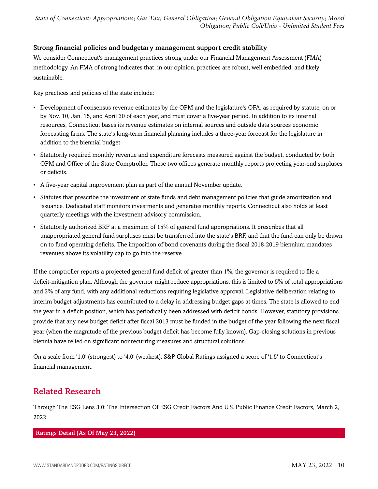#### Strong financial policies and budgetary management support credit stability

We consider Connecticut's management practices strong under our Financial Management Assessment (FMA) methodology. An FMA of strong indicates that, in our opinion, practices are robust, well embedded, and likely sustainable.

Key practices and policies of the state include:

- Development of consensus revenue estimates by the OPM and the legislature's OFA, as required by statute, on or by Nov. 10, Jan. 15, and April 30 of each year, and must cover a five-year period. In addition to its internal resources, Connecticut bases its revenue estimates on internal sources and outside data sources economic forecasting firms. The state's long-term financial planning includes a three-year forecast for the legislature in addition to the biennial budget.
- Statutorily required monthly revenue and expenditure forecasts measured against the budget, conducted by both OPM and Office of the State Comptroller. These two offices generate monthly reports projecting year-end surpluses or deficits.
- A five-year capital improvement plan as part of the annual November update.
- Statutes that prescribe the investment of state funds and debt management policies that guide amortization and issuance. Dedicated staff monitors investments and generates monthly reports. Connecticut also holds at least quarterly meetings with the investment advisory commission.
- Statutorily authorized BRF at a maximum of 15% of general fund appropriations. It prescribes that all unappropriated general fund surpluses must be transferred into the state's BRF, and that the fund can only be drawn on to fund operating deficits. The imposition of bond covenants during the fiscal 2018-2019 biennium mandates revenues above its volatility cap to go into the reserve.

If the comptroller reports a projected general fund deficit of greater than 1%, the governor is required to file a deficit-mitigation plan. Although the governor might reduce appropriations, this is limited to 5% of total appropriations and 3% of any fund, with any additional reductions requiring legislative approval. Legislative deliberation relating to interim budget adjustments has contributed to a delay in addressing budget gaps at times. The state is allowed to end the year in a deficit position, which has periodically been addressed with deficit bonds. However, statutory provisions provide that any new budget deficit after fiscal 2013 must be funded in the budget of the year following the next fiscal year (when the magnitude of the previous budget deficit has become fully known). Gap-closing solutions in previous biennia have relied on significant nonrecurring measures and structural solutions.

On a scale from '1.0' (strongest) to '4.0' (weakest), S&P Global Ratings assigned a score of '1.5' to Connecticut's financial management.

## <span id="page-9-0"></span>Related Research

Through The ESG Lens 3.0: The Intersection Of ESG Credit Factors And U.S. Public Finance Credit Factors, March 2, 2022

#### Ratings Detail (As Of May 23, 2022)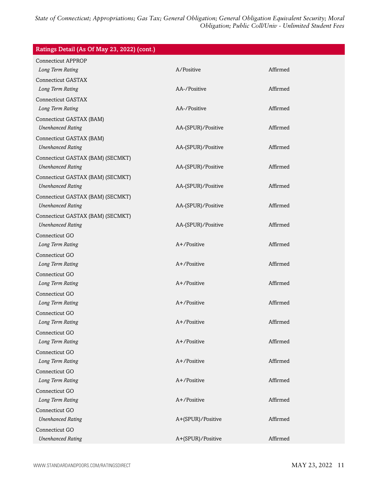| Ratings Detail (As Of May 23, 2022) (cont.) |                    |          |
|---------------------------------------------|--------------------|----------|
| <b>Connecticut APPROP</b>                   |                    |          |
| Long Term Rating                            | A/Positive         | Affirmed |
| <b>Connecticut GASTAX</b>                   |                    |          |
| Long Term Rating                            | AA-/Positive       | Affirmed |
| <b>Connecticut GASTAX</b>                   |                    |          |
| Long Term Rating                            | AA-/Positive       | Affirmed |
| Connecticut GASTAX (BAM)                    |                    |          |
| <b>Unenhanced Rating</b>                    | AA-(SPUR)/Positive | Affirmed |
| Connecticut GASTAX (BAM)                    |                    |          |
| <b>Unenhanced Rating</b>                    | AA-(SPUR)/Positive | Affirmed |
| Connecticut GASTAX (BAM) (SECMKT)           |                    |          |
| <b>Unenhanced Rating</b>                    | AA-(SPUR)/Positive | Affirmed |
| Connecticut GASTAX (BAM) (SECMKT)           |                    |          |
| <b>Unenhanced Rating</b>                    | AA-(SPUR)/Positive | Affirmed |
| Connecticut GASTAX (BAM) (SECMKT)           |                    |          |
| <b>Unenhanced Rating</b>                    | AA-(SPUR)/Positive | Affirmed |
| Connecticut GASTAX (BAM) (SECMKT)           |                    |          |
| <b>Unenhanced Rating</b>                    | AA-(SPUR)/Positive | Affirmed |
| Connecticut GO                              |                    |          |
| Long Term Rating                            | A+/Positive        | Affirmed |
| Connecticut GO                              |                    |          |
| Long Term Rating                            | A+/Positive        | Affirmed |
| Connecticut GO                              |                    |          |
| Long Term Rating                            | A+/Positive        | Affirmed |
| Connecticut GO                              |                    |          |
| Long Term Rating                            | A+/Positive        | Affirmed |
| Connecticut GO                              |                    |          |
| Long Term Rating                            | A+/Positive        | Affirmed |
| Connecticut GO                              |                    |          |
| Long Term Rating                            | A+/Positive        | Affirmed |
| Connecticut GO                              |                    |          |
| Long Term Rating                            | A+/Positive        | Affirmed |
| Connecticut GO                              |                    |          |
| Long Term Rating                            | A+/Positive        | Affirmed |
| Connecticut GO                              |                    |          |
| Long Term Rating                            | A+/Positive        | Affirmed |
| Connecticut GO                              |                    |          |
| <b>Unenhanced Rating</b>                    | A+(SPUR)/Positive  | Affirmed |
| Connecticut GO                              |                    |          |
| <b>Unenhanced Rating</b>                    | A+(SPUR)/Positive  | Affirmed |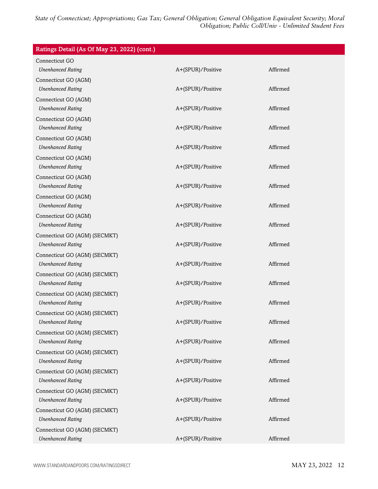| Ratings Detail (As Of May 23, 2022) (cont.) |                   |          |
|---------------------------------------------|-------------------|----------|
| Connecticut GO                              |                   |          |
| <b>Unenhanced Rating</b>                    | A+(SPUR)/Positive | Affirmed |
| Connecticut GO (AGM)                        |                   |          |
| <b>Unenhanced Rating</b>                    | A+(SPUR)/Positive | Affirmed |
| Connecticut GO (AGM)                        |                   |          |
| <b>Unenhanced Rating</b>                    | A+(SPUR)/Positive | Affirmed |
| Connecticut GO (AGM)                        |                   |          |
| <b>Unenhanced Rating</b>                    | A+(SPUR)/Positive | Affirmed |
| Connecticut GO (AGM)                        |                   |          |
| <b>Unenhanced Rating</b>                    | A+(SPUR)/Positive | Affirmed |
| Connecticut GO (AGM)                        |                   |          |
| <b>Unenhanced Rating</b>                    | A+(SPUR)/Positive | Affirmed |
| Connecticut GO (AGM)                        |                   |          |
| <b>Unenhanced Rating</b>                    | A+(SPUR)/Positive | Affirmed |
| Connecticut GO (AGM)                        |                   |          |
| <b>Unenhanced Rating</b>                    | A+(SPUR)/Positive | Affirmed |
| Connecticut GO (AGM)                        |                   |          |
| <b>Unenhanced Rating</b>                    | A+(SPUR)/Positive | Affirmed |
| Connecticut GO (AGM) (SECMKT)               |                   |          |
| <b>Unenhanced Rating</b>                    | A+(SPUR)/Positive | Affirmed |
| Connecticut GO (AGM) (SECMKT)               |                   |          |
| <b>Unenhanced Rating</b>                    | A+(SPUR)/Positive | Affirmed |
| Connecticut GO (AGM) (SECMKT)               |                   |          |
| <b>Unenhanced Rating</b>                    | A+(SPUR)/Positive | Affirmed |
| Connecticut GO (AGM) (SECMKT)               |                   |          |
| <b>Unenhanced Rating</b>                    | A+(SPUR)/Positive | Affirmed |
| Connecticut GO (AGM) (SECMKT)               |                   |          |
| <b>Unenhanced Rating</b>                    | A+(SPUR)/Positive | Affirmed |
| Connecticut GO (AGM) (SECMKT)               |                   |          |
| <b>Unenhanced Rating</b>                    | A+(SPUR)/Positive | Affirmed |
| Connecticut GO (AGM) (SECMKT)               |                   |          |
| <b>Unenhanced Rating</b>                    | A+(SPUR)/Positive | Affirmed |
| Connecticut GO (AGM) (SECMKT)               |                   |          |
| <b>Unenhanced Rating</b>                    | A+(SPUR)/Positive | Affirmed |
| Connecticut GO (AGM) (SECMKT)               |                   |          |
| <b>Unenhanced Rating</b>                    | A+(SPUR)/Positive | Affirmed |
| Connecticut GO (AGM) (SECMKT)               |                   |          |
| <b>Unenhanced Rating</b>                    | A+(SPUR)/Positive | Affirmed |
| Connecticut GO (AGM) (SECMKT)               |                   |          |
| <b>Unenhanced Rating</b>                    | A+(SPUR)/Positive | Affirmed |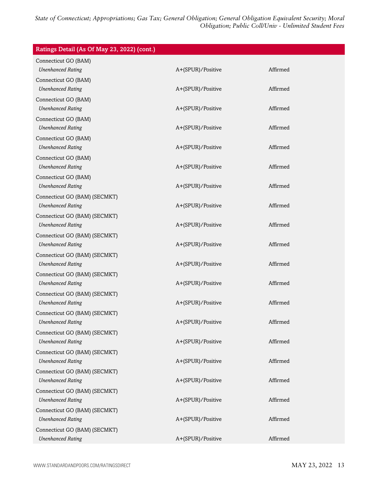| Ratings Detail (As Of May 23, 2022) (cont.) |                   |          |
|---------------------------------------------|-------------------|----------|
| Connecticut GO (BAM)                        |                   |          |
| <b>Unenhanced Rating</b>                    | A+(SPUR)/Positive | Affirmed |
| Connecticut GO (BAM)                        |                   |          |
| <b>Unenhanced Rating</b>                    | A+(SPUR)/Positive | Affirmed |
| Connecticut GO (BAM)                        |                   |          |
| <b>Unenhanced Rating</b>                    | A+(SPUR)/Positive | Affirmed |
| Connecticut GO (BAM)                        |                   |          |
| <b>Unenhanced Rating</b>                    | A+(SPUR)/Positive | Affirmed |
| Connecticut GO (BAM)                        |                   |          |
| <b>Unenhanced Rating</b>                    | A+(SPUR)/Positive | Affirmed |
| Connecticut GO (BAM)                        |                   |          |
| <b>Unenhanced Rating</b>                    | A+(SPUR)/Positive | Affirmed |
| Connecticut GO (BAM)                        |                   |          |
| <b>Unenhanced Rating</b>                    | A+(SPUR)/Positive | Affirmed |
| Connecticut GO (BAM) (SECMKT)               |                   |          |
| <b>Unenhanced Rating</b>                    | A+(SPUR)/Positive | Affirmed |
| Connecticut GO (BAM) (SECMKT)               |                   |          |
| <b>Unenhanced Rating</b>                    | A+(SPUR)/Positive | Affirmed |
| Connecticut GO (BAM) (SECMKT)               |                   |          |
| <b>Unenhanced Rating</b>                    | A+(SPUR)/Positive | Affirmed |
| Connecticut GO (BAM) (SECMKT)               |                   |          |
| <b>Unenhanced Rating</b>                    | A+(SPUR)/Positive | Affirmed |
| Connecticut GO (BAM) (SECMKT)               |                   |          |
| <b>Unenhanced Rating</b>                    | A+(SPUR)/Positive | Affirmed |
| Connecticut GO (BAM) (SECMKT)               |                   |          |
| <b>Unenhanced Rating</b>                    | A+(SPUR)/Positive | Affirmed |
| Connecticut GO (BAM) (SECMKT)               |                   |          |
| <b>Unenhanced Rating</b>                    | A+(SPUR)/Positive | Affirmed |
| Connecticut GO (BAM) (SECMKT)               |                   |          |
| <b>Unenhanced Rating</b>                    | A+(SPUR)/Positive | Affirmed |
| Connecticut GO (BAM) (SECMKT)               |                   |          |
| <b>Unenhanced Rating</b>                    | A+(SPUR)/Positive | Affirmed |
| Connecticut GO (BAM) (SECMKT)               |                   |          |
| <b>Unenhanced Rating</b>                    | A+(SPUR)/Positive | Affirmed |
| Connecticut GO (BAM) (SECMKT)               |                   |          |
| <b>Unenhanced Rating</b>                    | A+(SPUR)/Positive | Affirmed |
| Connecticut GO (BAM) (SECMKT)               |                   |          |
| <b>Unenhanced Rating</b>                    | A+(SPUR)/Positive | Affirmed |
| Connecticut GO (BAM) (SECMKT)               |                   |          |
| <b>Unenhanced Rating</b>                    | A+(SPUR)/Positive | Affirmed |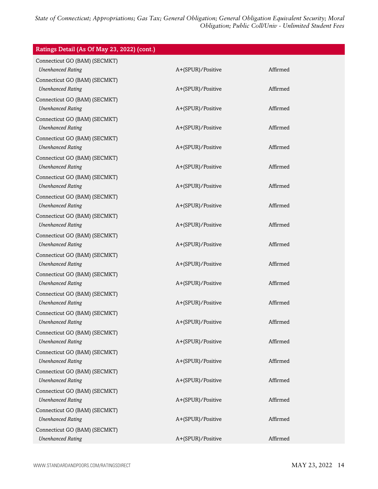| Ratings Detail (As Of May 23, 2022) (cont.)               |                   |          |
|-----------------------------------------------------------|-------------------|----------|
| Connecticut GO (BAM) (SECMKT)<br><b>Unenhanced Rating</b> | A+(SPUR)/Positive | Affirmed |
| Connecticut GO (BAM) (SECMKT)<br><b>Unenhanced Rating</b> | A+(SPUR)/Positive | Affirmed |
| Connecticut GO (BAM) (SECMKT)<br><b>Unenhanced Rating</b> | A+(SPUR)/Positive | Affirmed |
| Connecticut GO (BAM) (SECMKT)<br><b>Unenhanced Rating</b> | A+(SPUR)/Positive | Affirmed |
| Connecticut GO (BAM) (SECMKT)<br><b>Unenhanced Rating</b> | A+(SPUR)/Positive | Affirmed |
| Connecticut GO (BAM) (SECMKT)<br><b>Unenhanced Rating</b> | A+(SPUR)/Positive | Affirmed |
| Connecticut GO (BAM) (SECMKT)<br><b>Unenhanced Rating</b> | A+(SPUR)/Positive | Affirmed |
| Connecticut GO (BAM) (SECMKT)<br><b>Unenhanced Rating</b> | A+(SPUR)/Positive | Affirmed |
| Connecticut GO (BAM) (SECMKT)<br><b>Unenhanced Rating</b> | A+(SPUR)/Positive | Affirmed |
| Connecticut GO (BAM) (SECMKT)<br><b>Unenhanced Rating</b> | A+(SPUR)/Positive | Affirmed |
| Connecticut GO (BAM) (SECMKT)<br><b>Unenhanced Rating</b> | A+(SPUR)/Positive | Affirmed |
| Connecticut GO (BAM) (SECMKT)<br><b>Unenhanced Rating</b> | A+(SPUR)/Positive | Affirmed |
| Connecticut GO (BAM) (SECMKT)<br><b>Unenhanced Rating</b> | A+(SPUR)/Positive | Affirmed |
| Connecticut GO (BAM) (SECMKT)<br><b>Unenhanced Rating</b> | A+(SPUR)/Positive | Affirmed |
| Connecticut GO (BAM) (SECMKT)<br><b>Unenhanced Rating</b> | A+(SPUR)/Positive | Affirmed |
| Connecticut GO (BAM) (SECMKT)<br><b>Unenhanced Rating</b> | A+(SPUR)/Positive | Affirmed |
| Connecticut GO (BAM) (SECMKT)<br><b>Unenhanced Rating</b> | A+(SPUR)/Positive | Affirmed |
| Connecticut GO (BAM) (SECMKT)<br><b>Unenhanced Rating</b> | A+(SPUR)/Positive | Affirmed |
| Connecticut GO (BAM) (SECMKT)<br><b>Unenhanced Rating</b> | A+(SPUR)/Positive | Affirmed |
| Connecticut GO (BAM) (SECMKT)<br><b>Unenhanced Rating</b> | A+(SPUR)/Positive | Affirmed |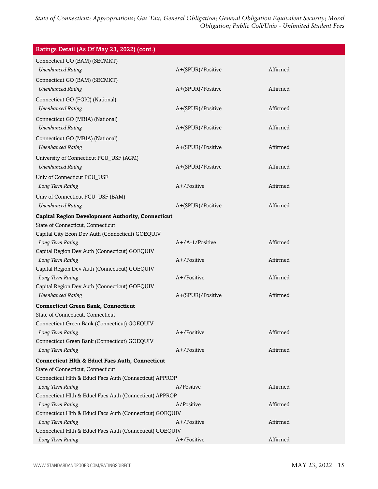| Connecticut GO (BAM) (SECMKT)<br><b>Unenhanced Rating</b><br>A+(SPUR)/Positive<br>Affirmed<br>Connecticut GO (BAM) (SECMKT)<br>Affirmed<br><b>Unenhanced Rating</b><br>A+(SPUR)/Positive<br>Connecticut GO (FGIC) (National)<br><b>Unenhanced Rating</b><br>A+(SPUR)/Positive<br>Affirmed<br>Connecticut GO (MBIA) (National)<br><b>Unenhanced Rating</b><br>A+(SPUR)/Positive<br>Affirmed<br>Connecticut GO (MBIA) (National)<br><b>Unenhanced Rating</b><br>A+(SPUR)/Positive<br>Affirmed<br>University of Connecticut PCU_USF (AGM)<br><b>Unenhanced Rating</b><br>A+(SPUR)/Positive<br>Affirmed<br>Univ of Connecticut PCU_USF<br>A+/Positive<br>Affirmed<br>Long Term Rating<br>Univ of Connecticut PCU_USF (BAM)<br><b>Unenhanced Rating</b><br>A+(SPUR)/Positive<br>Affirmed<br><b>Capital Region Development Authority, Connecticut</b><br>State of Connecticut, Connecticut<br>Capital City Econ Dev Auth (Connecticut) GOEQUIV<br>A+/A-1/Positive<br>Affirmed<br>Long Term Rating<br>Capital Region Dev Auth (Connecticut) GOEQUIV<br>A+/Positive<br>Long Term Rating<br>Affirmed<br>Capital Region Dev Auth (Connecticut) GOEQUIV<br>Long Term Rating<br>A+/Positive<br>Affirmed<br>Capital Region Dev Auth (Connecticut) GOEQUIV<br>Affirmed<br><b>Unenhanced Rating</b><br>A+(SPUR)/Positive<br><b>Connecticut Green Bank, Connecticut</b><br>State of Connecticut, Connecticut<br>Connecticut Green Bank (Connecticut) GOEQUIV | Ratings Detail (As Of May 23, 2022) (cont.) |  |  |  |
|----------------------------------------------------------------------------------------------------------------------------------------------------------------------------------------------------------------------------------------------------------------------------------------------------------------------------------------------------------------------------------------------------------------------------------------------------------------------------------------------------------------------------------------------------------------------------------------------------------------------------------------------------------------------------------------------------------------------------------------------------------------------------------------------------------------------------------------------------------------------------------------------------------------------------------------------------------------------------------------------------------------------------------------------------------------------------------------------------------------------------------------------------------------------------------------------------------------------------------------------------------------------------------------------------------------------------------------------------------------------------------------------------------------------------------------------|---------------------------------------------|--|--|--|
|                                                                                                                                                                                                                                                                                                                                                                                                                                                                                                                                                                                                                                                                                                                                                                                                                                                                                                                                                                                                                                                                                                                                                                                                                                                                                                                                                                                                                                              |                                             |  |  |  |
|                                                                                                                                                                                                                                                                                                                                                                                                                                                                                                                                                                                                                                                                                                                                                                                                                                                                                                                                                                                                                                                                                                                                                                                                                                                                                                                                                                                                                                              |                                             |  |  |  |
|                                                                                                                                                                                                                                                                                                                                                                                                                                                                                                                                                                                                                                                                                                                                                                                                                                                                                                                                                                                                                                                                                                                                                                                                                                                                                                                                                                                                                                              |                                             |  |  |  |
|                                                                                                                                                                                                                                                                                                                                                                                                                                                                                                                                                                                                                                                                                                                                                                                                                                                                                                                                                                                                                                                                                                                                                                                                                                                                                                                                                                                                                                              |                                             |  |  |  |
|                                                                                                                                                                                                                                                                                                                                                                                                                                                                                                                                                                                                                                                                                                                                                                                                                                                                                                                                                                                                                                                                                                                                                                                                                                                                                                                                                                                                                                              |                                             |  |  |  |
|                                                                                                                                                                                                                                                                                                                                                                                                                                                                                                                                                                                                                                                                                                                                                                                                                                                                                                                                                                                                                                                                                                                                                                                                                                                                                                                                                                                                                                              |                                             |  |  |  |
|                                                                                                                                                                                                                                                                                                                                                                                                                                                                                                                                                                                                                                                                                                                                                                                                                                                                                                                                                                                                                                                                                                                                                                                                                                                                                                                                                                                                                                              |                                             |  |  |  |
|                                                                                                                                                                                                                                                                                                                                                                                                                                                                                                                                                                                                                                                                                                                                                                                                                                                                                                                                                                                                                                                                                                                                                                                                                                                                                                                                                                                                                                              |                                             |  |  |  |
|                                                                                                                                                                                                                                                                                                                                                                                                                                                                                                                                                                                                                                                                                                                                                                                                                                                                                                                                                                                                                                                                                                                                                                                                                                                                                                                                                                                                                                              |                                             |  |  |  |
|                                                                                                                                                                                                                                                                                                                                                                                                                                                                                                                                                                                                                                                                                                                                                                                                                                                                                                                                                                                                                                                                                                                                                                                                                                                                                                                                                                                                                                              |                                             |  |  |  |
|                                                                                                                                                                                                                                                                                                                                                                                                                                                                                                                                                                                                                                                                                                                                                                                                                                                                                                                                                                                                                                                                                                                                                                                                                                                                                                                                                                                                                                              |                                             |  |  |  |
|                                                                                                                                                                                                                                                                                                                                                                                                                                                                                                                                                                                                                                                                                                                                                                                                                                                                                                                                                                                                                                                                                                                                                                                                                                                                                                                                                                                                                                              |                                             |  |  |  |
|                                                                                                                                                                                                                                                                                                                                                                                                                                                                                                                                                                                                                                                                                                                                                                                                                                                                                                                                                                                                                                                                                                                                                                                                                                                                                                                                                                                                                                              |                                             |  |  |  |
|                                                                                                                                                                                                                                                                                                                                                                                                                                                                                                                                                                                                                                                                                                                                                                                                                                                                                                                                                                                                                                                                                                                                                                                                                                                                                                                                                                                                                                              |                                             |  |  |  |
|                                                                                                                                                                                                                                                                                                                                                                                                                                                                                                                                                                                                                                                                                                                                                                                                                                                                                                                                                                                                                                                                                                                                                                                                                                                                                                                                                                                                                                              |                                             |  |  |  |
|                                                                                                                                                                                                                                                                                                                                                                                                                                                                                                                                                                                                                                                                                                                                                                                                                                                                                                                                                                                                                                                                                                                                                                                                                                                                                                                                                                                                                                              |                                             |  |  |  |
|                                                                                                                                                                                                                                                                                                                                                                                                                                                                                                                                                                                                                                                                                                                                                                                                                                                                                                                                                                                                                                                                                                                                                                                                                                                                                                                                                                                                                                              |                                             |  |  |  |
|                                                                                                                                                                                                                                                                                                                                                                                                                                                                                                                                                                                                                                                                                                                                                                                                                                                                                                                                                                                                                                                                                                                                                                                                                                                                                                                                                                                                                                              |                                             |  |  |  |
|                                                                                                                                                                                                                                                                                                                                                                                                                                                                                                                                                                                                                                                                                                                                                                                                                                                                                                                                                                                                                                                                                                                                                                                                                                                                                                                                                                                                                                              |                                             |  |  |  |
|                                                                                                                                                                                                                                                                                                                                                                                                                                                                                                                                                                                                                                                                                                                                                                                                                                                                                                                                                                                                                                                                                                                                                                                                                                                                                                                                                                                                                                              |                                             |  |  |  |
|                                                                                                                                                                                                                                                                                                                                                                                                                                                                                                                                                                                                                                                                                                                                                                                                                                                                                                                                                                                                                                                                                                                                                                                                                                                                                                                                                                                                                                              |                                             |  |  |  |
|                                                                                                                                                                                                                                                                                                                                                                                                                                                                                                                                                                                                                                                                                                                                                                                                                                                                                                                                                                                                                                                                                                                                                                                                                                                                                                                                                                                                                                              |                                             |  |  |  |
|                                                                                                                                                                                                                                                                                                                                                                                                                                                                                                                                                                                                                                                                                                                                                                                                                                                                                                                                                                                                                                                                                                                                                                                                                                                                                                                                                                                                                                              |                                             |  |  |  |
|                                                                                                                                                                                                                                                                                                                                                                                                                                                                                                                                                                                                                                                                                                                                                                                                                                                                                                                                                                                                                                                                                                                                                                                                                                                                                                                                                                                                                                              |                                             |  |  |  |
|                                                                                                                                                                                                                                                                                                                                                                                                                                                                                                                                                                                                                                                                                                                                                                                                                                                                                                                                                                                                                                                                                                                                                                                                                                                                                                                                                                                                                                              |                                             |  |  |  |
|                                                                                                                                                                                                                                                                                                                                                                                                                                                                                                                                                                                                                                                                                                                                                                                                                                                                                                                                                                                                                                                                                                                                                                                                                                                                                                                                                                                                                                              |                                             |  |  |  |
|                                                                                                                                                                                                                                                                                                                                                                                                                                                                                                                                                                                                                                                                                                                                                                                                                                                                                                                                                                                                                                                                                                                                                                                                                                                                                                                                                                                                                                              |                                             |  |  |  |
|                                                                                                                                                                                                                                                                                                                                                                                                                                                                                                                                                                                                                                                                                                                                                                                                                                                                                                                                                                                                                                                                                                                                                                                                                                                                                                                                                                                                                                              |                                             |  |  |  |
|                                                                                                                                                                                                                                                                                                                                                                                                                                                                                                                                                                                                                                                                                                                                                                                                                                                                                                                                                                                                                                                                                                                                                                                                                                                                                                                                                                                                                                              |                                             |  |  |  |
| Long Term Rating<br>A+/Positive<br>Affirmed                                                                                                                                                                                                                                                                                                                                                                                                                                                                                                                                                                                                                                                                                                                                                                                                                                                                                                                                                                                                                                                                                                                                                                                                                                                                                                                                                                                                  |                                             |  |  |  |
| Connecticut Green Bank (Connecticut) GOEQUIV                                                                                                                                                                                                                                                                                                                                                                                                                                                                                                                                                                                                                                                                                                                                                                                                                                                                                                                                                                                                                                                                                                                                                                                                                                                                                                                                                                                                 |                                             |  |  |  |
| A+/Positive<br>Affirmed<br>Long Term Rating                                                                                                                                                                                                                                                                                                                                                                                                                                                                                                                                                                                                                                                                                                                                                                                                                                                                                                                                                                                                                                                                                                                                                                                                                                                                                                                                                                                                  |                                             |  |  |  |
| <b>Connecticut Hlth &amp; Educl Facs Auth, Connecticut</b>                                                                                                                                                                                                                                                                                                                                                                                                                                                                                                                                                                                                                                                                                                                                                                                                                                                                                                                                                                                                                                                                                                                                                                                                                                                                                                                                                                                   |                                             |  |  |  |
| State of Connecticut, Connecticut                                                                                                                                                                                                                                                                                                                                                                                                                                                                                                                                                                                                                                                                                                                                                                                                                                                                                                                                                                                                                                                                                                                                                                                                                                                                                                                                                                                                            |                                             |  |  |  |
| Connecticut Hlth & Educl Facs Auth (Connecticut) APPROP                                                                                                                                                                                                                                                                                                                                                                                                                                                                                                                                                                                                                                                                                                                                                                                                                                                                                                                                                                                                                                                                                                                                                                                                                                                                                                                                                                                      |                                             |  |  |  |
| Affirmed<br>Long Term Rating<br>A/Positive                                                                                                                                                                                                                                                                                                                                                                                                                                                                                                                                                                                                                                                                                                                                                                                                                                                                                                                                                                                                                                                                                                                                                                                                                                                                                                                                                                                                   |                                             |  |  |  |
| Connecticut Hlth & Educl Facs Auth (Connecticut) APPROP                                                                                                                                                                                                                                                                                                                                                                                                                                                                                                                                                                                                                                                                                                                                                                                                                                                                                                                                                                                                                                                                                                                                                                                                                                                                                                                                                                                      |                                             |  |  |  |
| A/Positive<br>Affirmed<br>Long Term Rating<br>Connecticut Hlth & Educl Facs Auth (Connecticut) GOEQUIV                                                                                                                                                                                                                                                                                                                                                                                                                                                                                                                                                                                                                                                                                                                                                                                                                                                                                                                                                                                                                                                                                                                                                                                                                                                                                                                                       |                                             |  |  |  |
| A+/Positive<br>Affirmed<br>Long Term Rating                                                                                                                                                                                                                                                                                                                                                                                                                                                                                                                                                                                                                                                                                                                                                                                                                                                                                                                                                                                                                                                                                                                                                                                                                                                                                                                                                                                                  |                                             |  |  |  |
| Connecticut Hlth & Educl Facs Auth (Connecticut) GOEQUIV                                                                                                                                                                                                                                                                                                                                                                                                                                                                                                                                                                                                                                                                                                                                                                                                                                                                                                                                                                                                                                                                                                                                                                                                                                                                                                                                                                                     |                                             |  |  |  |
| Long Term Rating<br>A+/Positive<br>Affirmed                                                                                                                                                                                                                                                                                                                                                                                                                                                                                                                                                                                                                                                                                                                                                                                                                                                                                                                                                                                                                                                                                                                                                                                                                                                                                                                                                                                                  |                                             |  |  |  |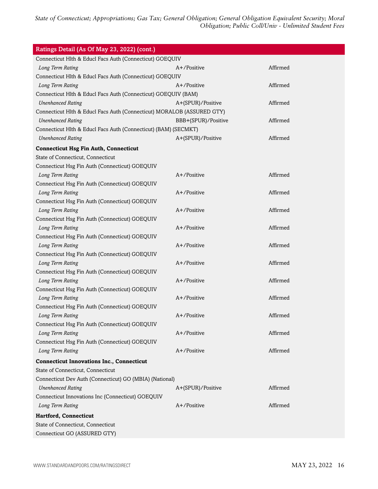| Ratings Detail (As Of May 23, 2022) (cont.)                            |                     |          |  |
|------------------------------------------------------------------------|---------------------|----------|--|
| Connecticut Hlth & Educl Facs Auth (Connecticut) GOEQUIV               |                     |          |  |
| Long Term Rating                                                       | $A+$ /Positive      | Affirmed |  |
| Connecticut Hlth & Educl Facs Auth (Connecticut) GOEQUIV               |                     |          |  |
| Long Term Rating                                                       | A+/Positive         | Affirmed |  |
| Connecticut Hlth & Educl Facs Auth (Connecticut) GOEQUIV (BAM)         |                     |          |  |
| <b>Unenhanced Rating</b>                                               | A+(SPUR)/Positive   | Affirmed |  |
| Connecticut Hlth & Educl Facs Auth (Connecticut) MORALOB (ASSURED GTY) |                     |          |  |
| <b>Unenhanced Rating</b>                                               | BBB+(SPUR)/Positive | Affirmed |  |
| Connecticut Hlth & Educl Facs Auth (Connecticut) (BAM) (SECMKT)        |                     |          |  |
| <b>Unenhanced Rating</b>                                               | A+(SPUR)/Positive   | Affirmed |  |
| <b>Connecticut Hsg Fin Auth, Connecticut</b>                           |                     |          |  |
| State of Connecticut, Connecticut                                      |                     |          |  |
| Connecticut Hsg Fin Auth (Connecticut) GOEQUIV                         |                     |          |  |
| Long Term Rating                                                       | A+/Positive         | Affirmed |  |
| Connecticut Hsg Fin Auth (Connecticut) GOEQUIV                         |                     |          |  |
| Long Term Rating                                                       | A+/Positive         | Affirmed |  |
| Connecticut Hsg Fin Auth (Connecticut) GOEQUIV                         |                     |          |  |
| Long Term Rating                                                       | A+/Positive         | Affirmed |  |
| Connecticut Hsg Fin Auth (Connecticut) GOEQUIV                         |                     |          |  |
| Long Term Rating                                                       | A+/Positive         | Affirmed |  |
| Connecticut Hsg Fin Auth (Connecticut) GOEQUIV                         |                     |          |  |
| Long Term Rating                                                       | A+/Positive         | Affirmed |  |
| Connecticut Hsg Fin Auth (Connecticut) GOEQUIV                         |                     |          |  |
| Long Term Rating                                                       | A+/Positive         | Affirmed |  |
| Connecticut Hsg Fin Auth (Connecticut) GOEQUIV                         |                     |          |  |
| Long Term Rating                                                       | A+/Positive         | Affirmed |  |
| Connecticut Hsg Fin Auth (Connecticut) GOEQUIV                         |                     |          |  |
| Long Term Rating                                                       | A+/Positive         | Affirmed |  |
| Connecticut Hsg Fin Auth (Connecticut) GOEQUIV                         |                     |          |  |
| Long Term Rating                                                       | A+/Positive         | Affirmed |  |
| Connecticut Hsg Fin Auth (Connecticut) GOEQUIV                         |                     |          |  |
| Long Term Rating                                                       | A+/Positive         | Affirmed |  |
| Connecticut Hsg Fin Auth (Connecticut) GOEQUIV                         |                     |          |  |
| Long Term Rating                                                       | A+/Positive         | Affirmed |  |
| <b>Connecticut Innovations Inc., Connecticut</b>                       |                     |          |  |
| State of Connecticut, Connecticut                                      |                     |          |  |
| Connecticut Dev Auth (Connecticut) GO (MBIA) (National)                |                     |          |  |
| <b>Unenhanced Rating</b>                                               | A+(SPUR)/Positive   | Affirmed |  |
| Connecticut Innovations Inc (Connecticut) GOEQUIV                      |                     |          |  |
| Long Term Rating                                                       | A+/Positive         | Affirmed |  |
| Hartford, Connecticut                                                  |                     |          |  |
| State of Connecticut, Connecticut                                      |                     |          |  |
| Connecticut GO (ASSURED GTY)                                           |                     |          |  |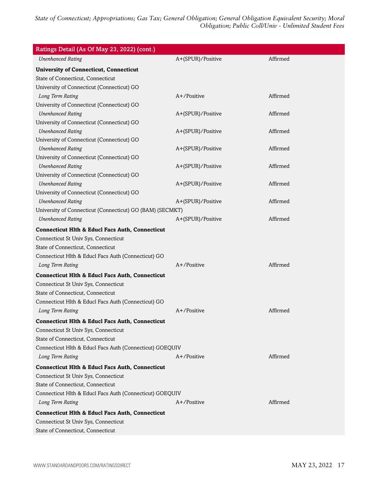| Ratings Detail (As Of May 23, 2022) (cont.)                |                   |          |
|------------------------------------------------------------|-------------------|----------|
| <b>Unenhanced Rating</b>                                   | A+(SPUR)/Positive | Affirmed |
| <b>University of Connecticut, Connecticut</b>              |                   |          |
| State of Connecticut, Connecticut                          |                   |          |
| University of Connecticut (Connecticut) GO                 |                   |          |
| Long Term Rating                                           | A+/Positive       | Affirmed |
| University of Connecticut (Connecticut) GO                 |                   |          |
| <b>Unenhanced Rating</b>                                   | A+(SPUR)/Positive | Affirmed |
| University of Connecticut (Connecticut) GO                 |                   |          |
| <b>Unenhanced Rating</b>                                   | A+(SPUR)/Positive | Affirmed |
| University of Connecticut (Connecticut) GO                 |                   |          |
| <b>Unenhanced Rating</b>                                   | A+(SPUR)/Positive | Affirmed |
| University of Connecticut (Connecticut) GO                 |                   |          |
| <b>Unenhanced Rating</b>                                   | A+(SPUR)/Positive | Affirmed |
| University of Connecticut (Connecticut) GO                 |                   |          |
| <b>Unenhanced Rating</b>                                   | A+(SPUR)/Positive | Affirmed |
| University of Connecticut (Connecticut) GO                 |                   |          |
| <b>Unenhanced Rating</b>                                   | A+(SPUR)/Positive | Affirmed |
| University of Connecticut (Connecticut) GO (BAM) (SECMKT)  |                   |          |
| <b>Unenhanced Rating</b>                                   | A+(SPUR)/Positive | Affirmed |
| <b>Connecticut Hlth &amp; Educl Facs Auth, Connecticut</b> |                   |          |
| Connecticut St Univ Sys, Connecticut                       |                   |          |
| State of Connecticut, Connecticut                          |                   |          |
| Connecticut Hlth & Educl Facs Auth (Connecticut) GO        |                   |          |
| Long Term Rating                                           | $A+$ /Positive    | Affirmed |
| <b>Connecticut Hith &amp; Educi Facs Auth, Connecticut</b> |                   |          |
| Connecticut St Univ Sys, Connecticut                       |                   |          |
| State of Connecticut, Connecticut                          |                   |          |
| Connecticut Hlth & Educl Facs Auth (Connecticut) GO        |                   |          |
| Long Term Rating                                           | $A+$ /Positive    | Affirmed |
| <b>Connecticut Hith &amp; Educi Facs Auth, Connecticut</b> |                   |          |
| Connecticut St Univ Sys, Connecticut                       |                   |          |
| State of Connecticut, Connecticut                          |                   |          |
| Connecticut Hlth & Educl Facs Auth (Connecticut) GOEQUIV   |                   |          |
| Long Term Rating                                           | $A+$ /Positive    | Affirmed |
| <b>Connecticut Hlth &amp; Educl Facs Auth, Connecticut</b> |                   |          |
| Connecticut St Univ Sys, Connecticut                       |                   |          |
| State of Connecticut, Connecticut                          |                   |          |
| Connecticut Hlth & Educl Facs Auth (Connecticut) GOEQUIV   |                   |          |
| Long Term Rating                                           | $A+$ /Positive    | Affirmed |
| <b>Connecticut Hith &amp; Educi Facs Auth, Connecticut</b> |                   |          |
| Connecticut St Univ Sys, Connecticut                       |                   |          |
| State of Connecticut, Connecticut                          |                   |          |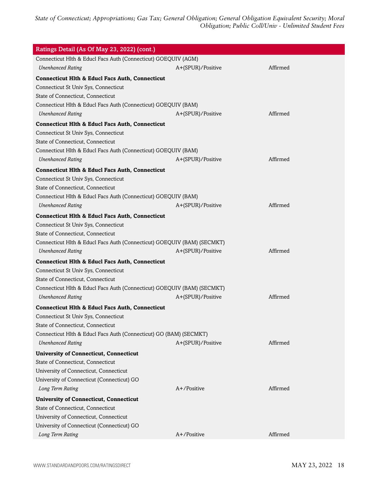| Ratings Detail (As Of May 23, 2022) (cont.)                                                        |                   |          |
|----------------------------------------------------------------------------------------------------|-------------------|----------|
| Connecticut Hlth & Educl Facs Auth (Connecticut) GOEQUIV (AGM)                                     |                   |          |
| <b>Unenhanced Rating</b>                                                                           | A+(SPUR)/Positive | Affirmed |
| <b>Connecticut Hlth &amp; Educl Facs Auth, Connecticut</b><br>Connecticut St Univ Sys, Connecticut |                   |          |
| State of Connecticut, Connecticut                                                                  |                   |          |
| Connecticut Hlth & Educl Facs Auth (Connecticut) GOEQUIV (BAM)                                     |                   |          |
| <b>Unenhanced Rating</b>                                                                           | A+(SPUR)/Positive | Affirmed |
| <b>Connecticut Hlth &amp; Educl Facs Auth, Connecticut</b>                                         |                   |          |
| Connecticut St Univ Sys, Connecticut                                                               |                   |          |
| State of Connecticut, Connecticut                                                                  |                   |          |
| Connecticut Hlth & Educl Facs Auth (Connecticut) GOEQUIV (BAM)                                     |                   |          |
| <b>Unenhanced Rating</b>                                                                           | A+(SPUR)/Positive | Affirmed |
| <b>Connecticut Hlth &amp; Educl Facs Auth, Connecticut</b>                                         |                   |          |
| Connecticut St Univ Sys, Connecticut                                                               |                   |          |
| State of Connecticut, Connecticut                                                                  |                   |          |
| Connecticut Hlth & Educl Facs Auth (Connecticut) GOEQUIV (BAM)                                     |                   |          |
| <b>Unenhanced Rating</b>                                                                           | A+(SPUR)/Positive | Affirmed |
| <b>Connecticut Hlth &amp; Educl Facs Auth, Connecticut</b>                                         |                   |          |
| Connecticut St Univ Sys, Connecticut                                                               |                   |          |
| State of Connecticut, Connecticut                                                                  |                   |          |
| Connecticut Hlth & Educl Facs Auth (Connecticut) GOEQUIV (BAM) (SECMKT)                            |                   |          |
| <b>Unenhanced Rating</b>                                                                           | A+(SPUR)/Positive | Affirmed |
| <b>Connecticut Hlth &amp; Educl Facs Auth, Connecticut</b>                                         |                   |          |
| Connecticut St Univ Sys, Connecticut                                                               |                   |          |
| State of Connecticut, Connecticut                                                                  |                   |          |
| Connecticut Hlth & Educl Facs Auth (Connecticut) GOEQUIV (BAM) (SECMKT)                            |                   |          |
| <b>Unenhanced Rating</b>                                                                           | A+(SPUR)/Positive | Affirmed |
| <b>Connecticut Hlth &amp; Educl Facs Auth, Connecticut</b>                                         |                   |          |
| Connecticut St Univ Sys, Connecticut                                                               |                   |          |
| State of Connecticut, Connecticut                                                                  |                   |          |
| Connecticut Hlth & Educl Facs Auth (Connecticut) GO (BAM) (SECMKT)                                 |                   |          |
| <b>Unenhanced Rating</b>                                                                           | A+(SPUR)/Positive | Affirmed |
| <b>University of Connecticut, Connecticut</b>                                                      |                   |          |
| State of Connecticut, Connecticut                                                                  |                   |          |
| University of Connecticut, Connecticut                                                             |                   |          |
| University of Connecticut (Connecticut) GO                                                         |                   |          |
| Long Term Rating                                                                                   | A+/Positive       | Affirmed |
| <b>University of Connecticut, Connecticut</b>                                                      |                   |          |
| State of Connecticut, Connecticut                                                                  |                   |          |
| University of Connecticut, Connecticut                                                             |                   |          |
| University of Connecticut (Connecticut) GO                                                         |                   |          |
| Long Term Rating                                                                                   | A+/Positive       | Affirmed |
|                                                                                                    |                   |          |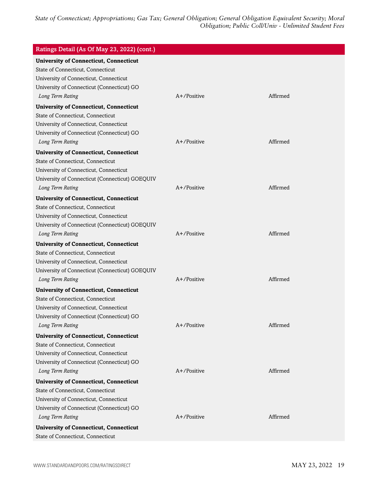| Ratings Detail (As Of May 23, 2022) (cont.)                                                                                                                                                    |                |          |
|------------------------------------------------------------------------------------------------------------------------------------------------------------------------------------------------|----------------|----------|
| <b>University of Connecticut, Connecticut</b><br>State of Connecticut, Connecticut<br>University of Connecticut, Connecticut<br>University of Connecticut (Connecticut) GO<br>Long Term Rating | $A+$ /Positive | Affirmed |
|                                                                                                                                                                                                |                |          |
| <b>University of Connecticut, Connecticut</b><br>State of Connecticut, Connecticut                                                                                                             |                |          |
| University of Connecticut, Connecticut                                                                                                                                                         |                |          |
| University of Connecticut (Connecticut) GO                                                                                                                                                     |                |          |
| Long Term Rating                                                                                                                                                                               | A+/Positive    | Affirmed |
| <b>University of Connecticut, Connecticut</b>                                                                                                                                                  |                |          |
| State of Connecticut, Connecticut                                                                                                                                                              |                |          |
| University of Connecticut, Connecticut                                                                                                                                                         |                |          |
| University of Connecticut (Connecticut) GOEQUIV                                                                                                                                                |                |          |
| Long Term Rating                                                                                                                                                                               | $A+$ /Positive | Affirmed |
| <b>University of Connecticut, Connecticut</b>                                                                                                                                                  |                |          |
| State of Connecticut, Connecticut                                                                                                                                                              |                |          |
| University of Connecticut, Connecticut                                                                                                                                                         |                |          |
| University of Connecticut (Connecticut) GOEQUIV                                                                                                                                                |                |          |
| Long Term Rating                                                                                                                                                                               | A+/Positive    | Affirmed |
| <b>University of Connecticut, Connecticut</b>                                                                                                                                                  |                |          |
| State of Connecticut, Connecticut                                                                                                                                                              |                |          |
| University of Connecticut, Connecticut                                                                                                                                                         |                |          |
| University of Connecticut (Connecticut) GOEQUIV                                                                                                                                                |                |          |
| Long Term Rating                                                                                                                                                                               | $A+$ /Positive | Affirmed |
| <b>University of Connecticut, Connecticut</b>                                                                                                                                                  |                |          |
| State of Connecticut, Connecticut                                                                                                                                                              |                |          |
| University of Connecticut, Connecticut                                                                                                                                                         |                |          |
| University of Connecticut (Connecticut) GO                                                                                                                                                     |                |          |
| Long Term Rating                                                                                                                                                                               | A+/Positive    | Affirmed |
| <b>University of Connecticut, Connecticut</b>                                                                                                                                                  |                |          |
| State of Connecticut, Connecticut                                                                                                                                                              |                |          |
| University of Connecticut, Connecticut                                                                                                                                                         |                |          |
| University of Connecticut (Connecticut) GO<br>Long Term Rating                                                                                                                                 | A+/Positive    | Affirmed |
|                                                                                                                                                                                                |                |          |
| <b>University of Connecticut, Connecticut</b>                                                                                                                                                  |                |          |
| State of Connecticut, Connecticut<br>University of Connecticut, Connecticut                                                                                                                    |                |          |
| University of Connecticut (Connecticut) GO                                                                                                                                                     |                |          |
| Long Term Rating                                                                                                                                                                               | A+/Positive    | Affirmed |
| <b>University of Connecticut, Connecticut</b>                                                                                                                                                  |                |          |
| State of Connecticut, Connecticut                                                                                                                                                              |                |          |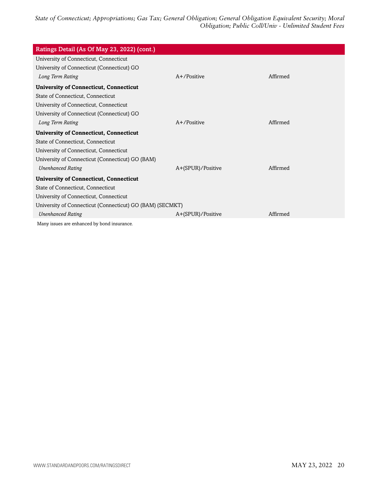| Ratings Detail (As Of May 23, 2022) (cont.)               |                   |          |
|-----------------------------------------------------------|-------------------|----------|
| University of Connecticut, Connecticut                    |                   |          |
| University of Connecticut (Connecticut) GO                |                   |          |
| Long Term Rating                                          | $A+$ /Positive    | Affirmed |
| <b>University of Connecticut, Connecticut</b>             |                   |          |
| State of Connecticut, Connecticut                         |                   |          |
| University of Connecticut, Connecticut                    |                   |          |
| University of Connecticut (Connecticut) GO                |                   |          |
| Long Term Rating                                          | $A+$ /Positive    | Affirmed |
| <b>University of Connecticut, Connecticut</b>             |                   |          |
| State of Connecticut, Connecticut                         |                   |          |
| University of Connecticut, Connecticut                    |                   |          |
| University of Connecticut (Connecticut) GO (BAM)          |                   |          |
| <b>Unenhanced Rating</b>                                  | A+(SPUR)/Positive | Affirmed |
| <b>University of Connecticut, Connecticut</b>             |                   |          |
| State of Connecticut, Connecticut                         |                   |          |
| University of Connecticut, Connecticut                    |                   |          |
| University of Connecticut (Connecticut) GO (BAM) (SECMKT) |                   |          |
| <b>Unenhanced Rating</b>                                  | A+(SPUR)/Positive | Affirmed |
| Many issues are enhanced by bond insurance.               |                   |          |